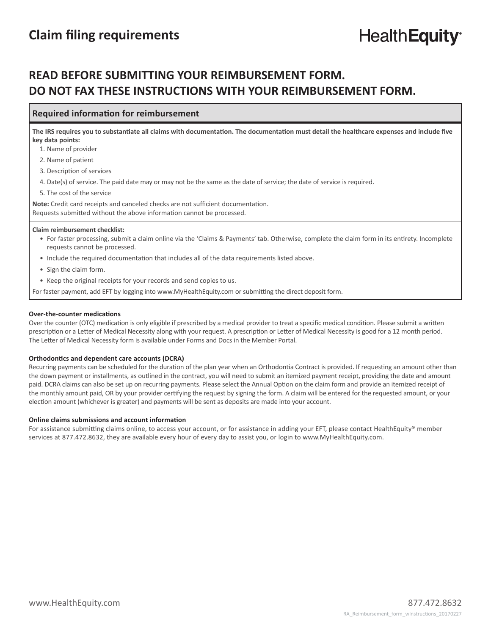## **READ BEFORE SUBMITTING YOUR REIMBURSEMENT FORM. DO NOT FAX THESE INSTRUCTIONS WITH YOUR REIMBURSEMENT FORM.**

#### **Required information for reimbursement**

**The IRS requires you to substantiate all claims with documentation. The documentation must detail the healthcare expenses and include five key data points:** 

1. Name of provider

2. Name of patient

3. Description of services

4. Date(s) of service. The paid date may or may not be the same as the date of service; the date of service is required.

5. The cost of the service

**Note:** Credit card receipts and canceled checks are not sufficient documentation. Requests submitted without the above information cannot be processed.

#### **Claim reimbursement checklist:**

- For faster processing, submit a claim online via the 'Claims & Payments' tab. Otherwise, complete the claim form in its entirety. Incomplete requests cannot be processed.
- Include the required documentation that includes all of the data requirements listed above.
- Sign the claim form.
- Keep the original receipts for your records and send copies to us.

For faster payment, add EFT by logging into www.MyHealthEquity.com or submitting the direct deposit form.

#### **Over-the-counter medications**

Over the counter (OTC) medication is only eligible if prescribed by a medical provider to treat a specific medical condition. Please submit a written prescription or a Letter of Medical Necessity along with your request. A prescription or Letter of Medical Necessity is good for a 12 month period. The Letter of Medical Necessity form is available under Forms and Docs in the Member Portal.

#### **Orthodontics and dependent care accounts (DCRA)**

Recurring payments can be scheduled for the duration of the plan year when an Orthodontia Contract is provided. If requesting an amount other than the down payment or installments, as outlined in the contract, you will need to submit an itemized payment receipt, providing the date and amount paid. DCRA claims can also be set up on recurring payments. Please select the Annual Option on the claim form and provide an itemized receipt of the monthly amount paid, OR by your provider certifying the request by signing the form. A claim will be entered for the requested amount, or your election amount (whichever is greater) and payments will be sent as deposits are made into your account.

#### **Online claims submissions and account information**

For assistance submitting claims online, to access your account, or for assistance in adding your EFT, please contact HealthEquity® member services at 877.472.8632, they are available every hour of every day to assist you, or login to www.MyHealthEquity.com.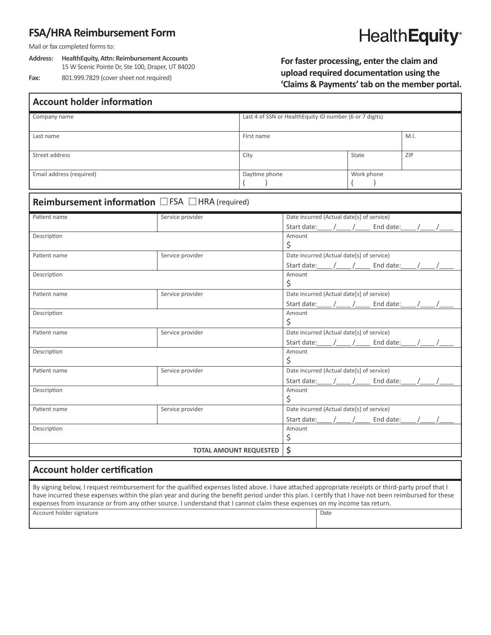## **FSA/HRA Reimbursement Form**

Mail or fax completed forms to:

**Address: HealthEquity, Attn: Reimbursement Accounts** 15 W Scenic Pointe Dr, Ste 100, Draper, UT 84020 **Fax:** 801.999.7829 (cover sheet not required)

# **HealthEquity®**

**For faster processing, enter the claim and upload required documentation using the 'Claims & Payments' tab on the member portal.**

| <b>Account holder information</b>                       |                  |                                                         |                                                       |            |     |  |
|---------------------------------------------------------|------------------|---------------------------------------------------------|-------------------------------------------------------|------------|-----|--|
| Company name                                            |                  | Last 4 of SSN or HealthEquity ID number (6 or 7 digits) |                                                       |            |     |  |
| Last name                                               |                  | First name                                              |                                                       | M.I.       |     |  |
| Street address                                          |                  | City                                                    | State                                                 |            | ZIP |  |
| Email address (required)                                |                  | Daytime phone                                           |                                                       | Work phone |     |  |
| <b>Reimbursement information</b> □ FSA □ HRA (required) |                  |                                                         |                                                       |            |     |  |
| Patient name                                            | Service provider |                                                         | Date incurred (Actual date[s] of service)             |            |     |  |
|                                                         |                  |                                                         | Start date: ____ /____ /_____ End date: ____ /____ /_ |            |     |  |
| Description                                             |                  |                                                         | Amount<br>\$                                          |            |     |  |
| Patient name                                            | Service provider |                                                         | Date incurred (Actual date[s] of service)             |            |     |  |
|                                                         |                  |                                                         | Start date: / / / End date: / / /                     |            |     |  |
| Description                                             |                  |                                                         | Amount<br>\$                                          |            |     |  |
| Service provider<br>Patient name                        |                  |                                                         | Date incurred (Actual date[s] of service)             |            |     |  |
|                                                         |                  |                                                         |                                                       |            |     |  |
| Description                                             |                  |                                                         | Amount                                                |            |     |  |
|                                                         |                  |                                                         | \$                                                    |            |     |  |
| Service provider<br>Patient name                        |                  |                                                         | Date incurred (Actual date[s] of service)             |            |     |  |
|                                                         |                  |                                                         | Start date: / / / End date: / / /                     |            |     |  |
| Description                                             |                  |                                                         | Amount                                                |            |     |  |
|                                                         |                  |                                                         | \$<br>Date incurred (Actual date[s] of service)       |            |     |  |
| Patient name                                            | Service provider |                                                         |                                                       |            |     |  |
| Description                                             |                  |                                                         | Start date: / / / End date: / / /<br>Amount           |            |     |  |
|                                                         |                  |                                                         | \$                                                    |            |     |  |
| Service provider<br>Patient name                        |                  |                                                         | Date incurred (Actual date[s] of service)             |            |     |  |
|                                                         |                  |                                                         |                                                       |            |     |  |
| Description                                             |                  |                                                         | Amount                                                |            |     |  |
|                                                         |                  |                                                         | \$                                                    |            |     |  |
| <b>TOTAL AMOUNT REQUESTED</b>                           |                  |                                                         | \$                                                    |            |     |  |
|                                                         |                  |                                                         |                                                       |            |     |  |

### **Account holder certification**

By signing below, I request reimbursement for the qualified expenses listed above. I have attached appropriate receipts or third-party proof that I have incurred these expenses within the plan year and during the benefit period under this plan. I certify that I have not been reimbursed for these expenses from insurance or from any other source. I understand that I cannot claim these expenses on my income tax return. Account holder signature Date Date of the Date of the Date of the Date of the Date of the Date of the Date of the Date of the Date of the Date of the Date of the Date of the Date of the Date of the Date of the Date of the